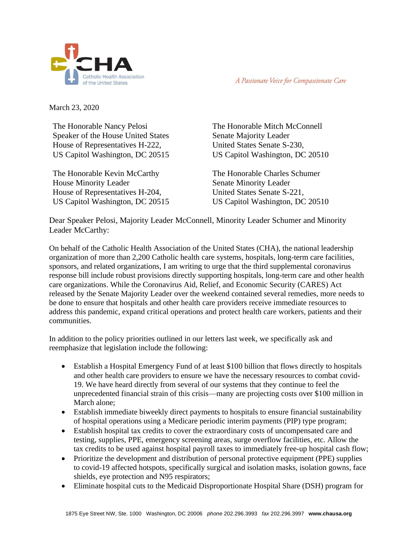

A Passionate Voice for Compassionate Care

March 23, 2020

The Honorable Nancy Pelosi Speaker of the House United States House of Representatives H-222, US Capitol Washington, DC 20515

The Honorable Kevin McCarthy House Minority Leader House of Representatives H-204, US Capitol Washington, DC 20515

The Honorable Mitch McConnell Senate Majority Leader United States Senate S-230, US Capitol Washington, DC 20510

The Honorable Charles Schumer Senate Minority Leader United States Senate S-221, US Capitol Washington, DC 20510

Dear Speaker Pelosi, Majority Leader McConnell, Minority Leader Schumer and Minority Leader McCarthy:

On behalf of the Catholic Health Association of the United States (CHA), the national leadership organization of more than 2,200 Catholic health care systems, hospitals, long-term care facilities, sponsors, and related organizations, I am writing to urge that the third supplemental coronavirus response bill include robust provisions directly supporting hospitals, long-term care and other health care organizations. While the Coronavirus Aid, Relief, and Economic Security (CARES) Act released by the Senate Majority Leader over the weekend contained several remedies, more needs to be done to ensure that hospitals and other health care providers receive immediate resources to address this pandemic, expand critical operations and protect health care workers, patients and their communities.

In addition to the policy priorities outlined in our letters last week, we specifically ask and reemphasize that legislation include the following:

- Establish a Hospital Emergency Fund of at least \$100 billion that flows directly to hospitals and other health care providers to ensure we have the necessary resources to combat covid-19. We have heard directly from several of our systems that they continue to feel the unprecedented financial strain of this crisis—many are projecting costs over \$100 million in March alone;
- Establish immediate biweekly direct payments to hospitals to ensure financial sustainability of hospital operations using a Medicare periodic interim payments (PIP) type program;
- Establish hospital tax credits to cover the extraordinary costs of uncompensated care and testing, supplies, PPE, emergency screening areas, surge overflow facilities, etc. Allow the tax credits to be used against hospital payroll taxes to immediately free-up hospital cash flow;
- Prioritize the development and distribution of personal protective equipment (PPE) supplies to covid-19 affected hotspots, specifically surgical and isolation masks, isolation gowns, face shields, eye protection and N95 respirators;
- Eliminate hospital cuts to the Medicaid Disproportionate Hospital Share (DSH) program for